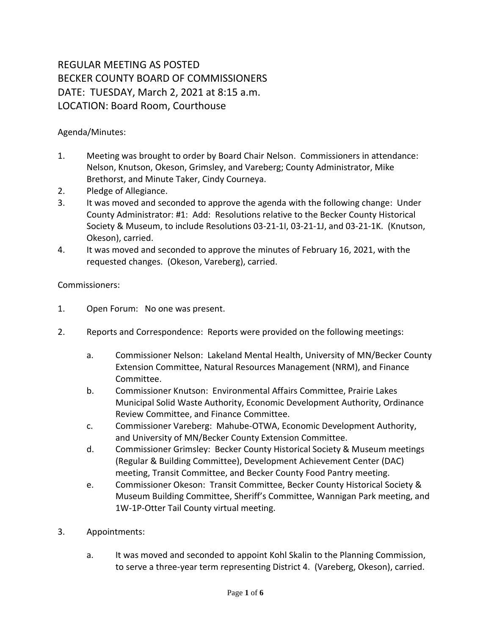## REGULAR MEETING AS POSTED BECKER COUNTY BOARD OF COMMISSIONERS DATE: TUESDAY, March 2, 2021 at 8:15 a.m. LOCATION: Board Room, Courthouse

Agenda/Minutes:

- 1. Meeting was brought to order by Board Chair Nelson. Commissioners in attendance: Nelson, Knutson, Okeson, Grimsley, and Vareberg; County Administrator, Mike Brethorst, and Minute Taker, Cindy Courneya.
- 2. Pledge of Allegiance.
- 3. It was moved and seconded to approve the agenda with the following change: Under County Administrator: #1: Add: Resolutions relative to the Becker County Historical Society & Museum, to include Resolutions 03-21-1I, 03-21-1J, and 03-21-1K. (Knutson, Okeson), carried.
- 4. It was moved and seconded to approve the minutes of February 16, 2021, with the requested changes. (Okeson, Vareberg), carried.

Commissioners:

- 1. Open Forum: No one was present.
- 2. Reports and Correspondence: Reports were provided on the following meetings:
	- a. Commissioner Nelson: Lakeland Mental Health, University of MN/Becker County Extension Committee, Natural Resources Management (NRM), and Finance Committee.
	- b. Commissioner Knutson: Environmental Affairs Committee, Prairie Lakes Municipal Solid Waste Authority, Economic Development Authority, Ordinance Review Committee, and Finance Committee.
	- c. Commissioner Vareberg: Mahube-OTWA, Economic Development Authority, and University of MN/Becker County Extension Committee.
	- d. Commissioner Grimsley: Becker County Historical Society & Museum meetings (Regular & Building Committee), Development Achievement Center (DAC) meeting, Transit Committee, and Becker County Food Pantry meeting.
	- e. Commissioner Okeson: Transit Committee, Becker County Historical Society & Museum Building Committee, Sheriff's Committee, Wannigan Park meeting, and 1W-1P-Otter Tail County virtual meeting.
- 3. Appointments:
	- a. It was moved and seconded to appoint Kohl Skalin to the Planning Commission, to serve a three-year term representing District 4. (Vareberg, Okeson), carried.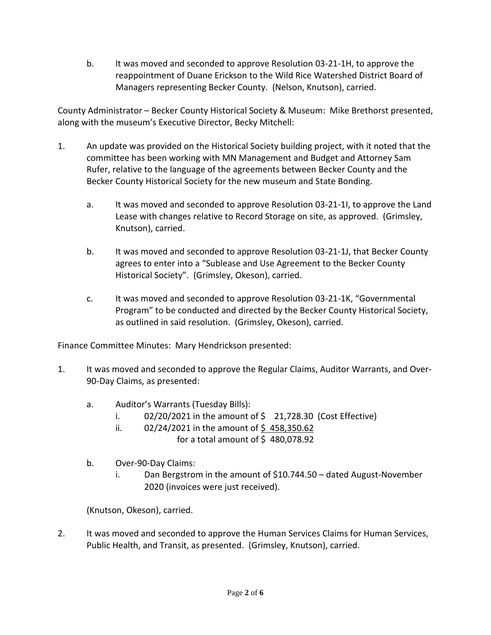b. It was moved and seconded to approve Resolution 03-21-1H, to approve the reappointment of Duane Erickson to the Wild Rice Watershed District Board of Managers representing Becker County. (Nelson, Knutson), carried.

County Administrator – Becker County Historical Society & Museum: Mike Brethorst presented, along with the museum's Executive Director, Becky Mitchell:

- 1. An update was provided on the Historical Society building project, with it noted that the committee has been working with MN Management and Budget and Attorney Sam Rufer, relative to the language of the agreements between Becker County and the Becker County Historical Society for the new museum and State Bonding.
	- a. It was moved and seconded to approve Resolution 03-21-1I, to approve the Land Lease with changes relative to Record Storage on site, as approved. (Grimsley, Knutson), carried.
	- b. It was moved and seconded to approve Resolution 03-21-1J, that Becker County agrees to enter into a "Sublease and Use Agreement to the Becker County Historical Society". (Grimsley, Okeson), carried.
	- c. It was moved and seconded to approve Resolution 03-21-1K, "Governmental Program" to be conducted and directed by the Becker County Historical Society, as outlined in said resolution. (Grimsley, Okeson), carried.

Finance Committee Minutes: Mary Hendrickson presented:

- 1. It was moved and seconded to approve the Regular Claims, Auditor Warrants, and Over-90-Day Claims, as presented:
	- a. Auditor's Warrants (Tuesday Bills):
		- i.  $02/20/2021$  in the amount of  $\frac{1}{2}$  21,728.30 (Cost Effective)
		- ii.  $02/24/2021$  in the amount of \$458,350.62 for a total amount of  $$480,078.92$
	- b. Over-90-Day Claims:
		- i. Dan Bergstrom in the amount of \$10.744.50 dated August-November 2020 (invoices were just received).

(Knutson, Okeson), carried.

2. It was moved and seconded to approve the Human Services Claims for Human Services, Public Health, and Transit, as presented. (Grimsley, Knutson), carried.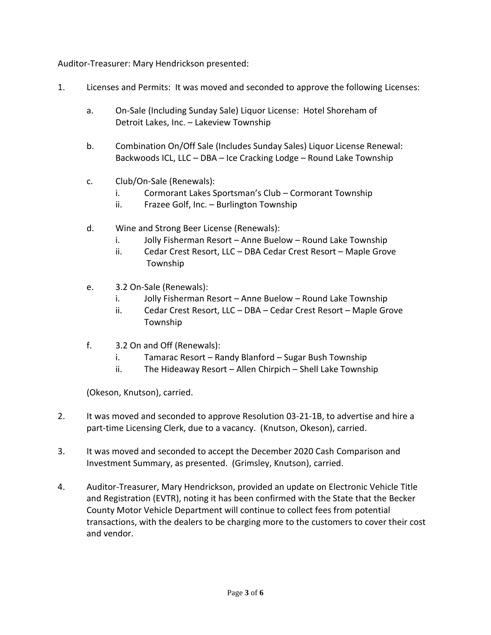Auditor-Treasurer: Mary Hendrickson presented:

- 1. Licenses and Permits: It was moved and seconded to approve the following Licenses:
	- a. On-Sale (Including Sunday Sale) Liquor License: Hotel Shoreham of Detroit Lakes, Inc. – Lakeview Township
	- b. Combination On/Off Sale (Includes Sunday Sales) Liquor License Renewal: Backwoods ICL, LLC – DBA – Ice Cracking Lodge – Round Lake Township
	- c. Club/On-Sale (Renewals):
		- i. Cormorant Lakes Sportsman's Club Cormorant Township
		- ii. Frazee Golf, Inc. Burlington Township
	- d. Wine and Strong Beer License (Renewals):
		- i. Jolly Fisherman Resort Anne Buelow Round Lake Township
		- ii. Cedar Crest Resort, LLC DBA Cedar Crest Resort Maple Grove Township
	- e. 3.2 On-Sale (Renewals):
		- i. Jolly Fisherman Resort Anne Buelow Round Lake Township
		- ii. Cedar Crest Resort, LLC DBA Cedar Crest Resort Maple Grove Township
	- f. 3.2 On and Off (Renewals):
		- i. Tamarac Resort Randy Blanford Sugar Bush Township
		- ii. The Hideaway Resort Allen Chirpich Shell Lake Township

(Okeson, Knutson), carried.

- 2. It was moved and seconded to approve Resolution 03-21-1B, to advertise and hire a part-time Licensing Clerk, due to a vacancy. (Knutson, Okeson), carried.
- 3. It was moved and seconded to accept the December 2020 Cash Comparison and Investment Summary, as presented. (Grimsley, Knutson), carried.
- 4. Auditor-Treasurer, Mary Hendrickson, provided an update on Electronic Vehicle Title and Registration (EVTR), noting it has been confirmed with the State that the Becker County Motor Vehicle Department will continue to collect fees from potential transactions, with the dealers to be charging more to the customers to cover their cost and vendor.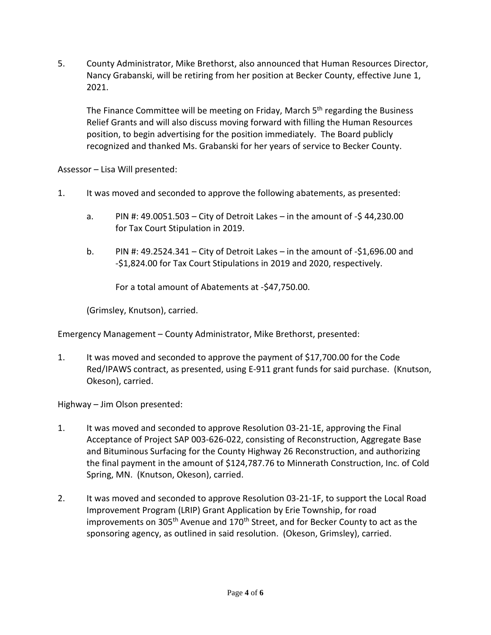5. County Administrator, Mike Brethorst, also announced that Human Resources Director, Nancy Grabanski, will be retiring from her position at Becker County, effective June 1, 2021.

The Finance Committee will be meeting on Friday, March 5<sup>th</sup> regarding the Business Relief Grants and will also discuss moving forward with filling the Human Resources position, to begin advertising for the position immediately. The Board publicly recognized and thanked Ms. Grabanski for her years of service to Becker County.

Assessor – Lisa Will presented:

- 1. It was moved and seconded to approve the following abatements, as presented:
	- a. PIN #: 49.0051.503 City of Detroit Lakes in the amount of -\$ 44,230.00 for Tax Court Stipulation in 2019.
	- b. PIN #: 49.2524.341 City of Detroit Lakes in the amount of  $-$ \$1,696.00 and -\$1,824.00 for Tax Court Stipulations in 2019 and 2020, respectively.

For a total amount of Abatements at -\$47,750.00.

(Grimsley, Knutson), carried.

Emergency Management – County Administrator, Mike Brethorst, presented:

1. It was moved and seconded to approve the payment of \$17,700.00 for the Code Red/IPAWS contract, as presented, using E-911 grant funds for said purchase. (Knutson, Okeson), carried.

Highway – Jim Olson presented:

- 1. It was moved and seconded to approve Resolution 03-21-1E, approving the Final Acceptance of Project SAP 003-626-022, consisting of Reconstruction, Aggregate Base and Bituminous Surfacing for the County Highway 26 Reconstruction, and authorizing the final payment in the amount of \$124,787.76 to Minnerath Construction, Inc. of Cold Spring, MN. (Knutson, Okeson), carried.
- 2. It was moved and seconded to approve Resolution 03-21-1F, to support the Local Road Improvement Program (LRIP) Grant Application by Erie Township, for road improvements on 305<sup>th</sup> Avenue and 170<sup>th</sup> Street, and for Becker County to act as the sponsoring agency, as outlined in said resolution. (Okeson, Grimsley), carried.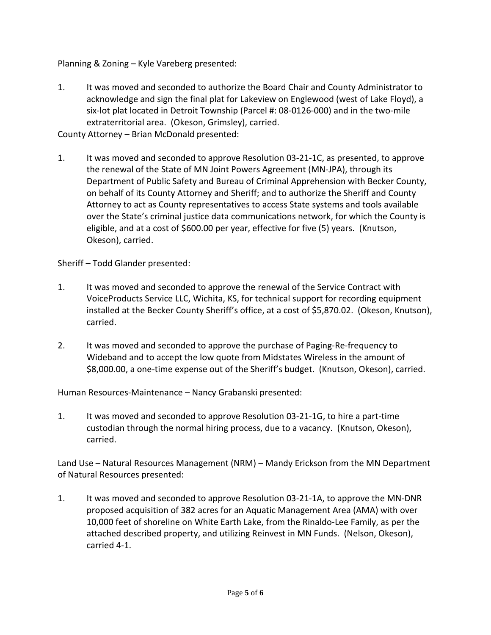Planning & Zoning – Kyle Vareberg presented:

1. It was moved and seconded to authorize the Board Chair and County Administrator to acknowledge and sign the final plat for Lakeview on Englewood (west of Lake Floyd), a six-lot plat located in Detroit Township (Parcel #: 08-0126-000) and in the two-mile extraterritorial area. (Okeson, Grimsley), carried.

County Attorney – Brian McDonald presented:

1. It was moved and seconded to approve Resolution 03-21-1C, as presented, to approve the renewal of the State of MN Joint Powers Agreement (MN-JPA), through its Department of Public Safety and Bureau of Criminal Apprehension with Becker County, on behalf of its County Attorney and Sheriff; and to authorize the Sheriff and County Attorney to act as County representatives to access State systems and tools available over the State's criminal justice data communications network, for which the County is eligible, and at a cost of \$600.00 per year, effective for five (5) years. (Knutson, Okeson), carried.

Sheriff – Todd Glander presented:

- 1. It was moved and seconded to approve the renewal of the Service Contract with VoiceProducts Service LLC, Wichita, KS, for technical support for recording equipment installed at the Becker County Sheriff's office, at a cost of \$5,870.02. (Okeson, Knutson), carried.
- 2. It was moved and seconded to approve the purchase of Paging-Re-frequency to Wideband and to accept the low quote from Midstates Wireless in the amount of \$8,000.00, a one-time expense out of the Sheriff's budget. (Knutson, Okeson), carried.

Human Resources-Maintenance – Nancy Grabanski presented:

1. It was moved and seconded to approve Resolution 03-21-1G, to hire a part-time custodian through the normal hiring process, due to a vacancy. (Knutson, Okeson), carried.

Land Use – Natural Resources Management (NRM) – Mandy Erickson from the MN Department of Natural Resources presented:

1. It was moved and seconded to approve Resolution 03-21-1A, to approve the MN-DNR proposed acquisition of 382 acres for an Aquatic Management Area (AMA) with over 10,000 feet of shoreline on White Earth Lake, from the Rinaldo-Lee Family, as per the attached described property, and utilizing Reinvest in MN Funds. (Nelson, Okeson), carried 4-1.